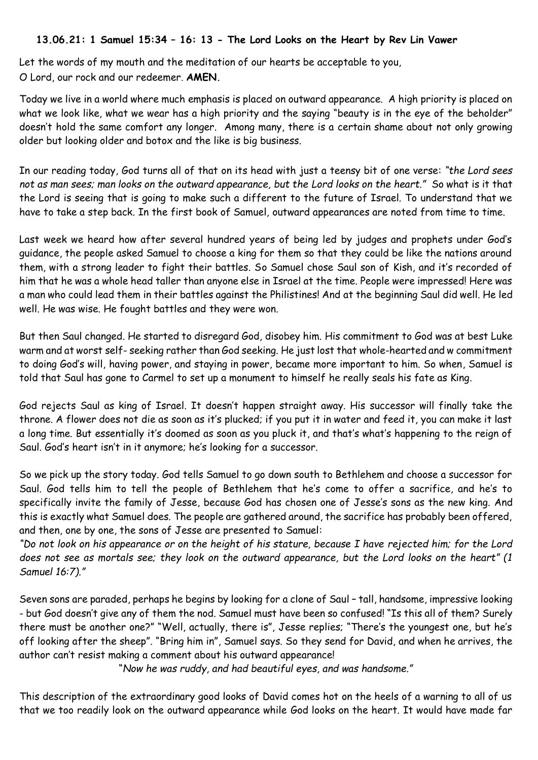## **13.06.21: 1 Samuel 15:34 – 16: 13 - The Lord Looks on the Heart by Rev Lin Vawer**

Let the words of my mouth and the meditation of our hearts be acceptable to you, O Lord, our rock and our redeemer. **AMEN.**

Today we live in a world where much emphasis is placed on outward appearance. A high priority is placed on what we look like, what we wear has a high priority and the saying "beauty is in the eye of the beholder" doesn't hold the same comfort any longer. Among many, there is a certain shame about not only growing older but looking older and botox and the like is big business.

In our reading today, God turns all of that on its head with just a teensy bit of one verse: *"the Lord sees not as man sees; man looks on the outward appearance, but the Lord looks on the heart."* So what is it that the Lord is seeing that is going to make such a different to the future of Israel. To understand that we have to take a step back. In the first book of Samuel, outward appearances are noted from time to time.

Last week we heard how after several hundred years of being led by judges and prophets under God's guidance, the people asked Samuel to choose a king for them so that they could be like the nations around them, with a strong leader to fight their battles. So Samuel chose Saul son of Kish, and it's recorded of him that he was a whole head taller than anyone else in Israel at the time. People were impressed! Here was a man who could lead them in their battles against the Philistines! And at the beginning Saul did well. He led well. He was wise. He fought battles and they were won.

But then Saul changed. He started to disregard God, disobey him. His commitment to God was at best Luke warm and at worst self- seeking rather than God seeking. He just lost that whole-hearted and w commitment to doing God's will, having power, and staying in power, became more important to him. So when, Samuel is told that Saul has gone to Carmel to set up a monument to himself he really seals his fate as King.

God rejects Saul as king of Israel. It doesn't happen straight away. His successor will finally take the throne. A flower does not die as soon as it's plucked; if you put it in water and feed it, you can make it last a long time. But essentially it's doomed as soon as you pluck it, and that's what's happening to the reign of Saul. God's heart isn't in it anymore; he's looking for a successor.

So we pick up the story today. God tells Samuel to go down south to Bethlehem and choose a successor for Saul. God tells him to tell the people of Bethlehem that he's come to offer a sacrifice, and he's to specifically invite the family of Jesse, because God has chosen one of Jesse's sons as the new king. And this is exactly what Samuel does. The people are gathered around, the sacrifice has probably been offered, and then, one by one, the sons of Jesse are presented to Samuel:

*"Do not look on his appearance or on the height of his stature, because I have rejected him; for the Lord does not see as mortals see; they look on the outward appearance, but the Lord looks on the heart" (1 Samuel 16:7)."*

Seven sons are paraded, perhaps he begins by looking for a clone of Saul – tall, handsome, impressive looking - but God doesn't give any of them the nod. Samuel must have been so confused! "Is this all of them? Surely there must be another one?" "Well, actually, there is", Jesse replies; "There's the youngest one, but he's off looking after the sheep". "Bring him in", Samuel says. So they send for David, and when he arrives, the author can't resist making a comment about his outward appearance!

"*Now he was ruddy, and had beautiful eyes, and was handsome."*

This description of the extraordinary good looks of David comes hot on the heels of a warning to all of us that we too readily look on the outward appearance while God looks on the heart. It would have made far